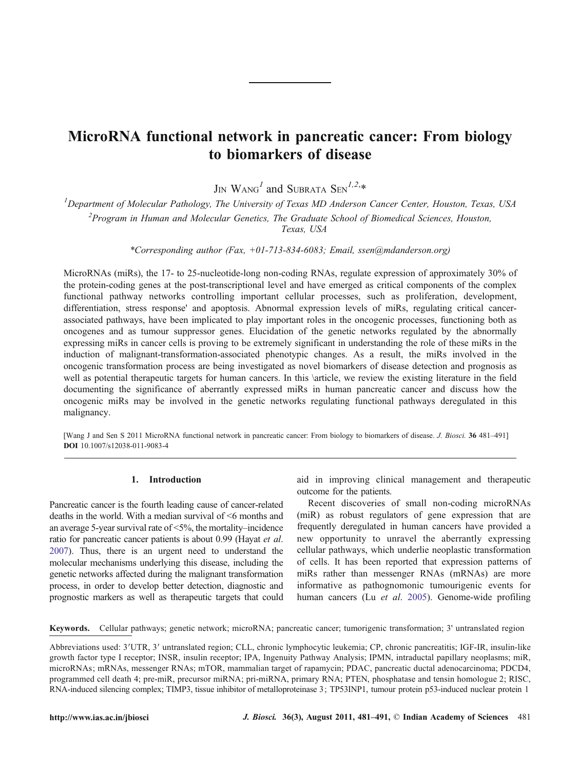# MicroRNA functional network in pancreatic cancer: From biology to biomarkers of disease

 $J_{IN}$  WANG<sup>1</sup> and SUBRATA SEN<sup>1,2,\*</sup>

<sup>1</sup>Department of Molecular Pathology, The University of Texas MD Anderson Cancer Center, Houston, Texas, USA  $2$ Program in Human and Molecular Genetics, The Graduate School of Biomedical Sciences, Houston, Texas, USA

\*Corresponding author (Fax,  $+01-713-834-6083$ ; Email, ssen@mdanderson.org)

MicroRNAs (miRs), the 17- to 25-nucleotide-long non-coding RNAs, regulate expression of approximately 30% of the protein-coding genes at the post-transcriptional level and have emerged as critical components of the complex functional pathway networks controlling important cellular processes, such as proliferation, development, differentiation, stress response' and apoptosis. Abnormal expression levels of miRs, regulating critical cancerassociated pathways, have been implicated to play important roles in the oncogenic processes, functioning both as oncogenes and as tumour suppressor genes. Elucidation of the genetic networks regulated by the abnormally expressing miRs in cancer cells is proving to be extremely significant in understanding the role of these miRs in the induction of malignant-transformation-associated phenotypic changes. As a result, the miRs involved in the oncogenic transformation process are being investigated as novel biomarkers of disease detection and prognosis as well as potential therapeutic targets for human cancers. In this \article, we review the existing literature in the field documenting the significance of aberrantly expressed miRs in human pancreatic cancer and discuss how the oncogenic miRs may be involved in the genetic networks regulating functional pathways deregulated in this malignancy.

[Wang J and Sen S 2011 MicroRNA functional network in pancreatic cancer: From biology to biomarkers of disease. J. Biosci. 36 481–491] DOI 10.1007/s12038-011-9083-4

## 1. Introduction

Pancreatic cancer is the fourth leading cause of cancer-related deaths in the world. With a median survival of <6 months and an average 5-year survival rate of <5%, the mortality–incidence ratio for pancreatic cancer patients is about 0.99 (Hayat et al. [2007](#page-9-0)). Thus, there is an urgent need to understand the molecular mechanisms underlying this disease, including the genetic networks affected during the malignant transformation process, in order to develop better detection, diagnostic and prognostic markers as well as therapeutic targets that could

aid in improving clinical management and therapeutic outcome for the patients.

Recent discoveries of small non-coding microRNAs (miR) as robust regulators of gene expression that are frequently deregulated in human cancers have provided a new opportunity to unravel the aberrantly expressing cellular pathways, which underlie neoplastic transformation of cells. It has been reported that expression patterns of miRs rather than messenger RNAs (mRNAs) are more informative as pathognomonic tumourigenic events for human cancers (Lu et al. [2005](#page-9-0)). Genome-wide profiling

Keywords. Cellular pathways; genetic network; microRNA; pancreatic cancer; tumorigenic transformation; 3' untranslated region

Abbreviations used: 3′UTR, 3′ untranslated region; CLL, chronic lymphocytic leukemia; CP, chronic pancreatitis; IGF-IR, insulin-like growth factor type I receptor; INSR, insulin receptor; IPA, Ingenuity Pathway Analysis; IPMN, intraductal papillary neoplasms; miR, microRNAs; mRNAs, messenger RNAs; mTOR, mammalian target of rapamycin; PDAC, pancreatic ductal adenocarcinoma; PDCD4, programmed cell death 4; pre-miR, precursor miRNA; pri-miRNA, primary RNA; PTEN, phosphatase and tensin homologue 2; RISC, RNA-induced silencing complex; TIMP3, tissue inhibitor of metalloproteinase 3; TP53INP1, tumour protein p53-induced nuclear protein 1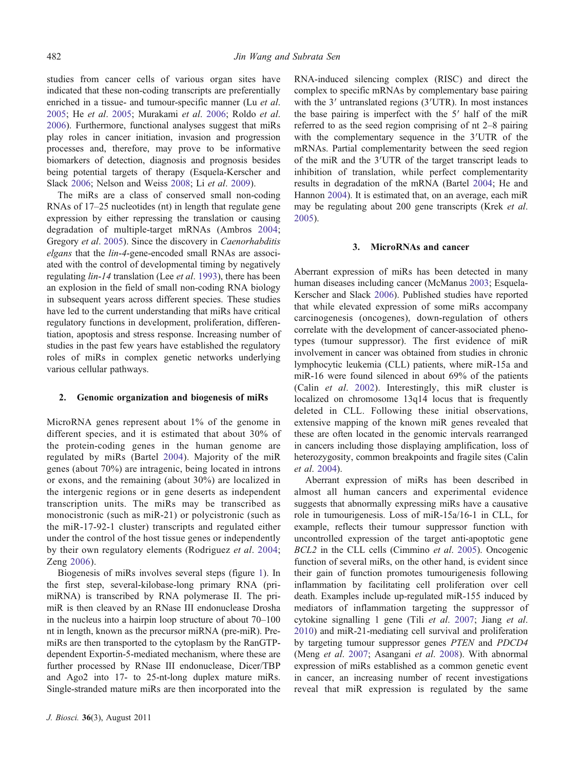studies from cancer cells of various organ sites have indicated that these non-coding transcripts are preferentially enriched in a tissue- and tumour-specific manner (Lu et al. [2005](#page-9-0); He et al. [2005;](#page-9-0) Murakami et al. [2006;](#page-9-0) Roldo et al. [2006](#page-9-0)). Furthermore, functional analyses suggest that miRs play roles in cancer initiation, invasion and progression processes and, therefore, may prove to be informative biomarkers of detection, diagnosis and prognosis besides being potential targets of therapy (Esquela-Kerscher and Slack [2006](#page-9-0); Nelson and Weiss [2008](#page-9-0); Li et al. [2009](#page-9-0)).

The miRs are a class of conserved small non-coding RNAs of 17–25 nucleotides (nt) in length that regulate gene expression by either repressing the translation or causing degradation of multiple-target mRNAs (Ambros [2004](#page-8-0); Gregory et al. [2005\)](#page-9-0). Since the discovery in Caenorhabditis elgans that the lin-4-gene-encoded small RNAs are associated with the control of developmental timing by negatively regulating *lin-14* translation (Lee *et al.* [1993](#page-9-0)), there has been an explosion in the field of small non-coding RNA biology in subsequent years across different species. These studies have led to the current understanding that miRs have critical regulatory functions in development, proliferation, differentiation, apoptosis and stress response. Increasing number of studies in the past few years have established the regulatory roles of miRs in complex genetic networks underlying various cellular pathways.

## 2. Genomic organization and biogenesis of miRs

MicroRNA genes represent about 1% of the genome in different species, and it is estimated that about 30% of the protein-coding genes in the human genome are regulated by miRs (Bartel [2004](#page-8-0)). Majority of the miR genes (about 70%) are intragenic, being located in introns or exons, and the remaining (about 30%) are localized in the intergenic regions or in gene deserts as independent transcription units. The miRs may be transcribed as monocistronic (such as miR-21) or polycistronic (such as the miR-17-92-1 cluster) transcripts and regulated either under the control of the host tissue genes or independently by their own regulatory elements (Rodriguez et al. [2004](#page-9-0); Zeng [2006](#page-10-0)).

Biogenesis of miRs involves several steps (figure [1](#page-2-0)). In the first step, several-kilobase-long primary RNA (primiRNA) is transcribed by RNA polymerase II. The primiR is then cleaved by an RNase III endonuclease Drosha in the nucleus into a hairpin loop structure of about 70–100 nt in length, known as the precursor miRNA (pre-miR). PremiRs are then transported to the cytoplasm by the RanGTPdependent Exportin-5-mediated mechanism, where these are further processed by RNase III endonuclease, Dicer/TBP and Ago2 into 17- to 25-nt-long duplex mature miRs. Single-stranded mature miRs are then incorporated into the

RNA-induced silencing complex (RISC) and direct the complex to specific mRNAs by complementary base pairing with the 3' untranslated regions (3'UTR). In most instances the base pairing is imperfect with the 5′ half of the miR referred to as the seed region comprising of nt 2–8 pairing with the complementary sequence in the 3′UTR of the mRNAs. Partial complementarity between the seed region of the miR and the 3′UTR of the target transcript leads to inhibition of translation, while perfect complementarity results in degradation of the mRNA (Bartel [2004;](#page-8-0) He and Hannon [2004\)](#page-9-0). It is estimated that, on an average, each miR may be regulating about 200 gene transcripts (Krek et al. [2005](#page-9-0)).

## 3. MicroRNAs and cancer

Aberrant expression of miRs has been detected in many human diseases including cancer (McManus [2003](#page-9-0); Esquela-Kerscher and Slack [2006\)](#page-9-0). Published studies have reported that while elevated expression of some miRs accompany carcinogenesis (oncogenes), down-regulation of others correlate with the development of cancer-associated phenotypes (tumour suppressor). The first evidence of miR involvement in cancer was obtained from studies in chronic lymphocytic leukemia (CLL) patients, where miR-15a and miR-16 were found silenced in about 69% of the patients (Calin et al. [2002](#page-8-0)). Interestingly, this miR cluster is localized on chromosome 13q14 locus that is frequently deleted in CLL. Following these initial observations, extensive mapping of the known miR genes revealed that these are often located in the genomic intervals rearranged in cancers including those displaying amplification, loss of heterozygosity, common breakpoints and fragile sites (Calin et al. [2004](#page-8-0)).

Aberrant expression of miRs has been described in almost all human cancers and experimental evidence suggests that abnormally expressing miRs have a causative role in tumourigenesis. Loss of miR-15a/16-1 in CLL, for example, reflects their tumour suppressor function with uncontrolled expression of the target anti-apoptotic gene BCL2 in the CLL cells (Cimmino et al. [2005\)](#page-9-0). Oncogenic function of several miRs, on the other hand, is evident since their gain of function promotes tumourigenesis following inflammation by facilitating cell proliferation over cell death. Examples include up-regulated miR-155 induced by mediators of inflammation targeting the suppressor of cytokine signalling 1 gene (Tili et al. [2007;](#page-9-0) Jiang et al. [2010](#page-9-0)) and miR-21-mediating cell survival and proliferation by targeting tumour suppressor genes PTEN and PDCD4 (Meng et al. [2007](#page-9-0); Asangani et al. [2008](#page-8-0)). With abnormal expression of miRs established as a common genetic event in cancer, an increasing number of recent investigations reveal that miR expression is regulated by the same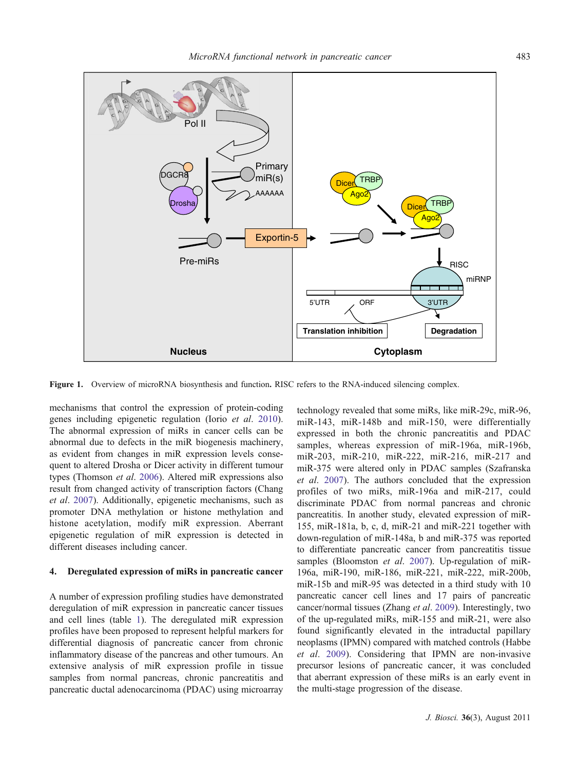<span id="page-2-0"></span>

Figure 1. Overview of microRNA biosynthesis and function. RISC refers to the RNA-induced silencing complex.

mechanisms that control the expression of protein-coding genes including epigenetic regulation (Iorio et al. [2010](#page-9-0)). The abnormal expression of miRs in cancer cells can be abnormal due to defects in the miR biogenesis machinery, as evident from changes in miR expression levels consequent to altered Drosha or Dicer activity in different tumour types (Thomson et al. [2006\)](#page-9-0). Altered miR expressions also result from changed activity of transcription factors (Chang et al. [2007\)](#page-9-0). Additionally, epigenetic mechanisms, such as promoter DNA methylation or histone methylation and histone acetylation, modify miR expression. Aberrant epigenetic regulation of miR expression is detected in different diseases including cancer.

## 4. Deregulated expression of miRs in pancreatic cancer

A number of expression profiling studies have demonstrated deregulation of miR expression in pancreatic cancer tissues and cell lines (table [1](#page-3-0)). The deregulated miR expression profiles have been proposed to represent helpful markers for differential diagnosis of pancreatic cancer from chronic inflammatory disease of the pancreas and other tumours. An extensive analysis of miR expression profile in tissue samples from normal pancreas, chronic pancreatitis and pancreatic ductal adenocarcinoma (PDAC) using microarray

technology revealed that some miRs, like miR-29c, miR-96, miR-143, miR-148b and miR-150, were differentially expressed in both the chronic pancreatitis and PDAC samples, whereas expression of miR-196a, miR-196b, miR-203, miR-210, miR-222, miR-216, miR-217 and miR-375 were altered only in PDAC samples (Szafranska et al. [2007](#page-9-0)). The authors concluded that the expression profiles of two miRs, miR-196a and miR-217, could discriminate PDAC from normal pancreas and chronic pancreatitis. In another study, elevated expression of miR-155, miR-181a, b, c, d, miR-21 and miR-221 together with down-regulation of miR-148a, b and miR-375 was reported to differentiate pancreatic cancer from pancreatitis tissue samples (Bloomston et al. [2007](#page-8-0)). Up-regulation of miR-196a, miR-190, miR-186, miR-221, miR-222, miR-200b, miR-15b and miR-95 was detected in a third study with 10 pancreatic cancer cell lines and 17 pairs of pancreatic cancer/normal tissues (Zhang et al. [2009\)](#page-10-0). Interestingly, two of the up-regulated miRs, miR-155 and miR-21, were also found significantly elevated in the intraductal papillary neoplasms (IPMN) compared with matched controls (Habbe et al. [2009\)](#page-9-0). Considering that IPMN are non-invasive precursor lesions of pancreatic cancer, it was concluded that aberrant expression of these miRs is an early event in the multi-stage progression of the disease.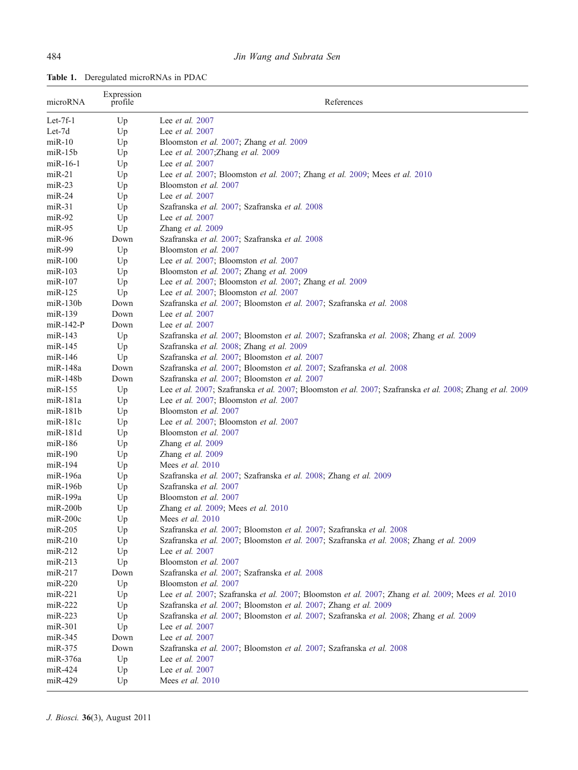## <span id="page-3-0"></span>484 Jin Wang and Subrata Sen

Table 1. Deregulated microRNAs in PDAC

| microRNA       | Expression<br>profile | References                                                                                                |  |  |
|----------------|-----------------------|-----------------------------------------------------------------------------------------------------------|--|--|
| $Let-7f-1$     | Up                    | Lee et al. 2007                                                                                           |  |  |
| Let-7d         | Up                    | Lee et al. 2007                                                                                           |  |  |
| $miR-10$       | Up                    | Bloomston et al. 2007; Zhang et al. 2009                                                                  |  |  |
| $m$ i $R-15b$  | Up                    | Lee et al. 2007; Zhang et al. 2009                                                                        |  |  |
| $miR-16-1$     | Up                    | Lee <i>et al.</i> 2007                                                                                    |  |  |
| $miR-21$       | Up                    | Lee et al. 2007; Bloomston et al. 2007; Zhang et al. 2009; Mees et al. 2010                               |  |  |
| $miR-23$       | Up                    | Bloomston et al. 2007                                                                                     |  |  |
| $miR-24$       | Up                    | Lee <i>et al.</i> 2007                                                                                    |  |  |
| $miR-31$       | Up                    | Szafranska et al. 2007; Szafranska et al. 2008                                                            |  |  |
| $miR-92$       | Up                    | Lee <i>et al.</i> 2007                                                                                    |  |  |
| $miR-95$       | Up                    | Zhang et al. 2009                                                                                         |  |  |
| $miR-96$       | Down                  | Szafranska et al. 2007; Szafranska et al. 2008                                                            |  |  |
| $miR-99$       | Up                    | Bloomston et al. 2007                                                                                     |  |  |
| $m$ i $R-100$  | Up                    | Lee et al. 2007; Bloomston et al. 2007                                                                    |  |  |
| miR-103        | Up                    | Bloomston et al. 2007; Zhang et al. 2009                                                                  |  |  |
| $miR-107$      | Up                    | Lee et al. 2007; Bloomston et al. 2007; Zhang et al. 2009                                                 |  |  |
| $miR-125$      | Up                    | Lee et al. 2007; Bloomston et al. 2007                                                                    |  |  |
| $m$ i $R-130b$ | Down                  | Szafranska et al. 2007; Bloomston et al. 2007; Szafranska et al. 2008                                     |  |  |
| miR-139        | Down                  | Lee et al. 2007                                                                                           |  |  |
| miR-142-P      | Down                  | Lee <i>et al.</i> 2007                                                                                    |  |  |
| miR-143        | Up                    | Szafranska et al. 2007; Bloomston et al. 2007; Szafranska et al. 2008; Zhang et al. 2009                  |  |  |
| miR-145        | Up                    | Szafranska et al. 2008; Zhang et al. 2009                                                                 |  |  |
| $miR-146$      | Up                    | Szafranska et al. 2007; Bloomston et al. 2007                                                             |  |  |
| miR-148a       | Down                  | Szafranska et al. 2007; Bloomston et al. 2007; Szafranska et al. 2008                                     |  |  |
| miR-148b       | Down                  | Szafranska et al. 2007; Bloomston et al. 2007                                                             |  |  |
| miR-155        | Up                    | Lee et al. 2007; Szafranska et al. 2007; Bloomston et al. 2007; Szafranska et al. 2008; Zhang et al. 2009 |  |  |
| miR-181a       | Up                    | Lee et al. 2007; Bloomston et al. 2007                                                                    |  |  |
| miR-181b       | Up                    | Bloomston et al. 2007                                                                                     |  |  |
| $m$ i $R-181c$ | Up                    | Lee et al. 2007; Bloomston et al. 2007                                                                    |  |  |
| miR-181d       | Up                    | Bloomston et al. 2007                                                                                     |  |  |
| miR-186        | Up                    | Zhang et al. 2009                                                                                         |  |  |
| miR-190        | Up                    | Zhang et al. 2009                                                                                         |  |  |
| miR-194        | Up                    | Mees et al. 2010                                                                                          |  |  |
| miR-196a       | Up                    | Szafranska et al. 2007; Szafranska et al. 2008; Zhang et al. 2009                                         |  |  |
| miR-196b       | Up                    | Szafranska et al. 2007                                                                                    |  |  |
| miR-199a       | Up                    | Bloomston et al. 2007                                                                                     |  |  |
| $m$ iR-200 $b$ | Up                    | Zhang et al. 2009; Mees et al. 2010                                                                       |  |  |
| $miR-200c$     | Up                    | Mees et al. 2010                                                                                          |  |  |
| $miR-205$      | Up                    | Szafranska et al. 2007; Bloomston et al. 2007; Szafranska et al. 2008                                     |  |  |
| $miR-210$      | Up                    | Szafranska et al. 2007; Bloomston et al. 2007; Szafranska et al. 2008; Zhang et al. 2009                  |  |  |
| $miR-212$      | Up                    | Lee et al. 2007                                                                                           |  |  |
| miR-213        | Up                    | Bloomston et al. 2007                                                                                     |  |  |
| $miR-217$      | Down                  | Szafranska et al. 2007; Szafranska et al. 2008                                                            |  |  |
| $miR-220$      | Up                    | Bloomston et al. 2007                                                                                     |  |  |
| $miR-221$      | Up                    | Lee et al. 2007; Szafranska et al. 2007; Bloomston et al. 2007; Zhang et al. 2009; Mees et al. 2010       |  |  |
| $miR-222$      | Up                    | Szafranska et al. 2007; Bloomston et al. 2007; Zhang et al. 2009                                          |  |  |
| miR-223        | Up                    | Szafranska et al. 2007; Bloomston et al. 2007; Szafranska et al. 2008; Zhang et al. 2009                  |  |  |
| miR-301        | Up                    | Lee <i>et al.</i> 2007                                                                                    |  |  |
| miR-345        | Down                  | Lee et al. 2007                                                                                           |  |  |
| miR-375        | Down                  | Szafranska et al. 2007; Bloomston et al. 2007; Szafranska et al. 2008                                     |  |  |
| miR-376a       | Up                    | Lee et al. 2007                                                                                           |  |  |
| $miR-424$      | Up                    | Lee et al. 2007                                                                                           |  |  |
| miR-429        | Up                    | Mees et al. 2010                                                                                          |  |  |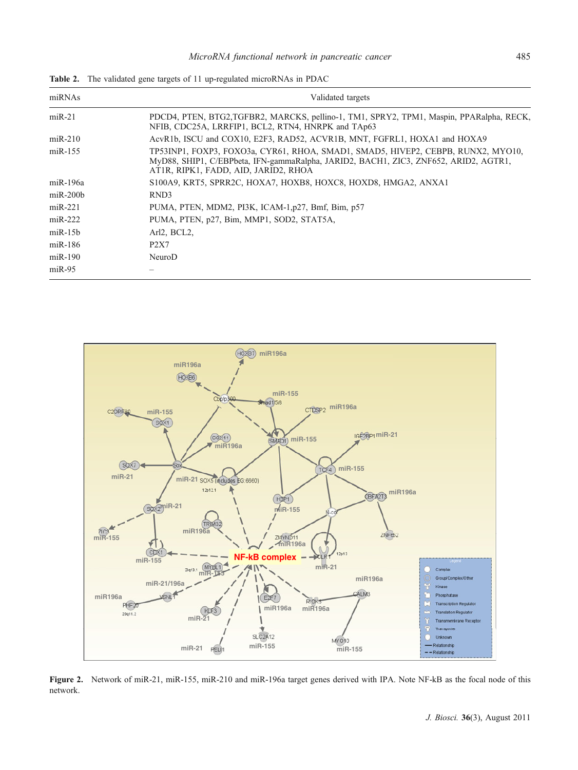<span id="page-4-0"></span>Table 2. The validated gene targets of 11 up-regulated microRNAs in PDAC

| miRNAs        | Validated targets                                                                                                                                                                                                |  |  |  |  |
|---------------|------------------------------------------------------------------------------------------------------------------------------------------------------------------------------------------------------------------|--|--|--|--|
| $miR-21$      | PDCD4, PTEN, BTG2,TGFBR2, MARCKS, pellino-1, TM1, SPRY2, TPM1, Maspin, PPARalpha, RECK,<br>NFIB, CDC25A, LRRFIP1, BCL2, RTN4, HNRPK and TAp63                                                                    |  |  |  |  |
| $miR-210$     | AcvR1b, ISCU and COX10, E2F3, RAD52, ACVR1B, MNT, FGFRL1, HOXA1 and HOXA9                                                                                                                                        |  |  |  |  |
| $mR-155$      | TP53INP1, FOXP3, FOXO3a, CYR61, RHOA, SMAD1, SMAD5, HIVEP2, CEBPB, RUNX2, MYO10,<br>MyD88, SHIP1, C/EBPbeta, IFN-gammaRalpha, JARID2, BACH1, ZIC3, ZNF652, ARID2, AGTR1,<br>ATIR, RIPK1, FADD, AID, JARID2, RHOA |  |  |  |  |
| miR-196a      | S100A9, KRT5, SPRR2C, HOXA7, HOXB8, HOXC8, HOXD8, HMGA2, ANXA1                                                                                                                                                   |  |  |  |  |
| $miR-200b$    | RND3                                                                                                                                                                                                             |  |  |  |  |
| $mR-221$      | PUMA, PTEN, MDM2, PI3K, ICAM-1, p27, Bmf, Bim, p57                                                                                                                                                               |  |  |  |  |
| $miR-222$     | PUMA, PTEN, p27, Bim, MMP1, SOD2, STAT5A,                                                                                                                                                                        |  |  |  |  |
| $m$ i $R-15b$ | Arl <sub>2</sub> , BCL <sub>2</sub> ,                                                                                                                                                                            |  |  |  |  |
| $miR-186$     | P2X7                                                                                                                                                                                                             |  |  |  |  |
| $m$ i $R-190$ | NeuroD                                                                                                                                                                                                           |  |  |  |  |
| $miR-95$      |                                                                                                                                                                                                                  |  |  |  |  |
|               |                                                                                                                                                                                                                  |  |  |  |  |



Figure 2. Network of miR-21, miR-155, miR-210 and miR-196a target genes derived with IPA. Note NF-kB as the focal node of this network.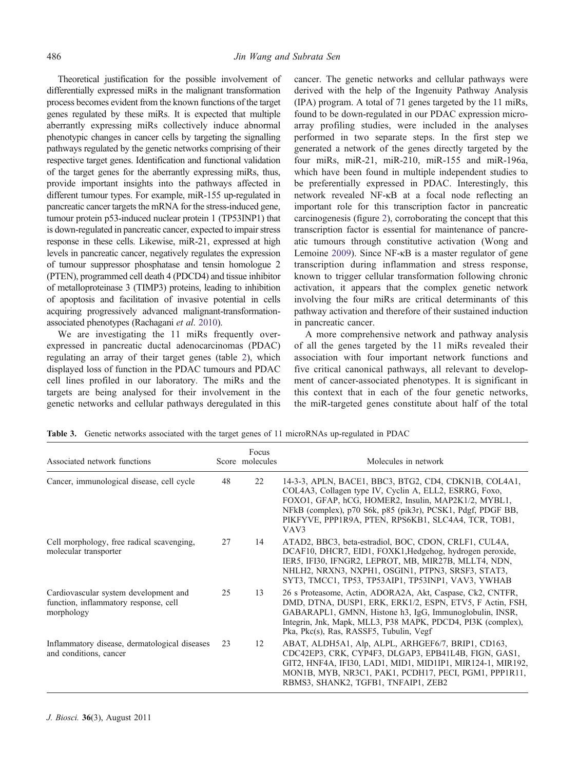<span id="page-5-0"></span>Theoretical justification for the possible involvement of differentially expressed miRs in the malignant transformation process becomes evident from the known functions of the target genes regulated by these miRs. It is expected that multiple aberrantly expressing miRs collectively induce abnormal phenotypic changes in cancer cells by targeting the signalling pathways regulated by the genetic networks comprising of their respective target genes. Identification and functional validation of the target genes for the aberrantly expressing miRs, thus, provide important insights into the pathways affected in different tumour types. For example, miR-155 up-regulated in pancreatic cancer targets the mRNA for the stress-induced gene, tumour protein p53-induced nuclear protein 1 (TP53INP1) that is down-regulated in pancreatic cancer, expected to impair stress response in these cells. Likewise, miR-21, expressed at high levels in pancreatic cancer, negatively regulates the expression of tumour suppressor phosphatase and tensin homologue 2 (PTEN), programmed cell death 4 (PDCD4) and tissue inhibitor of metalloproteinase 3 (TIMP3) proteins, leading to inhibition of apoptosis and facilitation of invasive potential in cells acquiring progressively advanced malignant-transformationassociated phenotypes (Rachagani et al. [2010\)](#page-9-0).

We are investigating the 11 miRs frequently overexpressed in pancreatic ductal adenocarcinomas (PDAC) regulating an array of their target genes (table [2](#page-4-0)), which displayed loss of function in the PDAC tumours and PDAC cell lines profiled in our laboratory. The miRs and the targets are being analysed for their involvement in the genetic networks and cellular pathways deregulated in this cancer. The genetic networks and cellular pathways were derived with the help of the Ingenuity Pathway Analysis (IPA) program. A total of 71 genes targeted by the 11 miRs, found to be down-regulated in our PDAC expression microarray profiling studies, were included in the analyses performed in two separate steps. In the first step we generated a network of the genes directly targeted by the four miRs, miR-21, miR-210, miR-155 and miR-196a, which have been found in multiple independent studies to be preferentially expressed in PDAC. Interestingly, this network revealed NF-κB at a focal node reflecting an important role for this transcription factor in pancreatic carcinogenesis (figure [2\)](#page-4-0), corroborating the concept that this transcription factor is essential for maintenance of pancreatic tumours through constitutive activation (Wong and Lemoine [2009\)](#page-10-0). Since NF-κB is a master regulator of gene transcription during inflammation and stress response, known to trigger cellular transformation following chronic activation, it appears that the complex genetic network involving the four miRs are critical determinants of this pathway activation and therefore of their sustained induction in pancreatic cancer.

A more comprehensive network and pathway analysis of all the genes targeted by the 11 miRs revealed their association with four important network functions and five critical canonical pathways, all relevant to development of cancer-associated phenotypes. It is significant in this context that in each of the four genetic networks, the miR-targeted genes constitute about half of the total

Table 3. Genetic networks associated with the target genes of 11 microRNAs up-regulated in PDAC

| Associated network functions                                                                 |    | Focus<br>Score molecules | Molecules in network                                                                                                                                                                                                                                                                                 |
|----------------------------------------------------------------------------------------------|----|--------------------------|------------------------------------------------------------------------------------------------------------------------------------------------------------------------------------------------------------------------------------------------------------------------------------------------------|
| Cancer, immunological disease, cell cycle                                                    | 48 | 22                       | 14-3-3, APLN, BACE1, BBC3, BTG2, CD4, CDKN1B, COL4A1,<br>COL4A3, Collagen type IV, Cyclin A, ELL2, ESRRG, Foxo,<br>FOXO1, GFAP, hCG, HOMER2, Insulin, MAP2K1/2, MYBL1,<br>NFkB (complex), p70 S6k, p85 (pik3r), PCSK1, Pdgf, PDGF BB,<br>PIKFYVE, PPP1R9A, PTEN, RPS6KB1, SLC4A4, TCR, TOB1,<br>VAV3 |
| Cell morphology, free radical scavenging,<br>molecular transporter                           | 27 | 14                       | ATAD2, BBC3, beta-estradiol, BOC, CDON, CRLF1, CUL4A,<br>DCAF10, DHCR7, EID1, FOXK1, Hedgehog, hydrogen peroxide,<br>IER5, IFI30, IFNGR2, LEPROT, MB, MIR27B, MLLT4, NDN,<br>NHLH2, NRXN3, NXPH1, OSGIN1, PTPN3, SRSF3, STAT3,<br>SYT3, TMCC1, TP53, TP53AIP1, TP53INP1, VAV3, YWHAB                 |
| Cardiovascular system development and<br>function, inflammatory response, cell<br>morphology | 25 | 13                       | 26 s Proteasome, Actin, ADORA2A, Akt, Caspase, Ck2, CNTFR,<br>DMD, DTNA, DUSP1, ERK, ERK1/2, ESPN, ETV5, F Actin, FSH,<br>GABARAPL1, GMNN, Histone h3, IgG, Immunoglobulin, INSR,<br>Integrin, Jnk, Mapk, MLL3, P38 MAPK, PDCD4, PI3K (complex),<br>Pka, Pkc(s), Ras, RASSF5, Tubulin, Vegf          |
| Inflammatory disease, dermatological diseases<br>and conditions, cancer                      | 23 | 12                       | ABAT, ALDH5A1, Alp, ALPL, ARHGEF6/7, BRIP1, CD163,<br>CDC42EP3, CRK, CYP4F3, DLGAP3, EPB41L4B, FIGN, GAS1,<br>GIT2, HNF4A, IFI30, LAD1, MID1, MID1IP1, MIR124-1, MIR192,<br>MON1B, MYB, NR3C1, PAK1, PCDH17, PECI, PGM1, PPP1R11,<br>RBMS3, SHANK2, TGFB1, TNFAIP1, ZEB2                             |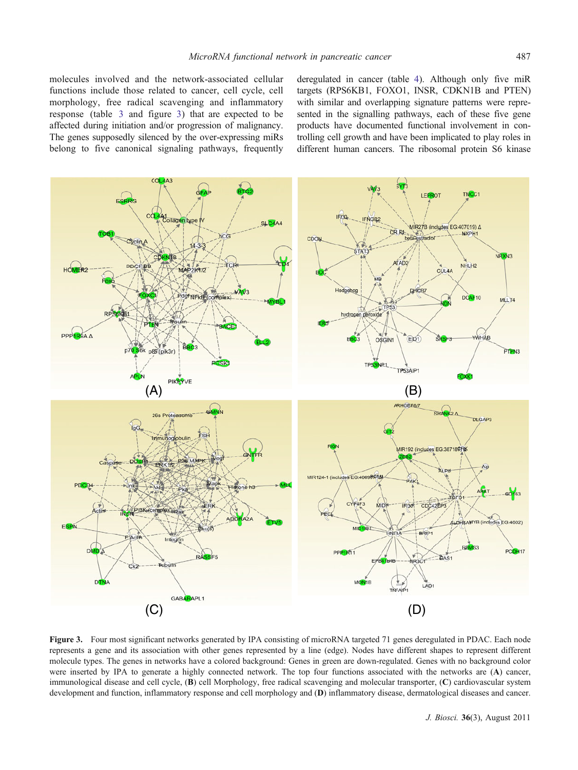molecules involved and the network-associated cellular functions include those related to cancer, cell cycle, cell morphology, free radical scavenging and inflammatory response (table [3](#page-5-0) and figure 3) that are expected to be affected during initiation and/or progression of malignancy. The genes supposedly silenced by the over-expressing miRs belong to five canonical signaling pathways, frequently

deregulated in cancer (table [4\)](#page-7-0). Although only five miR targets (RPS6KB1, FOXO1, INSR, CDKN1B and PTEN) with similar and overlapping signature patterns were represented in the signalling pathways, each of these five gene products have documented functional involvement in controlling cell growth and have been implicated to play roles in different human cancers. The ribosomal protein S6 kinase



Figure 3. Four most significant networks generated by IPA consisting of microRNA targeted 71 genes deregulated in PDAC. Each node represents a gene and its association with other genes represented by a line (edge). Nodes have different shapes to represent different molecule types. The genes in networks have a colored background: Genes in green are down-regulated. Genes with no background color were inserted by IPA to generate a highly connected network. The top four functions associated with the networks are (A) cancer, immunological disease and cell cycle, (B) cell Morphology, free radical scavenging and molecular transporter, (C) cardiovascular system development and function, inflammatory response and cell morphology and (D) inflammatory disease, dermatological diseases and cancer.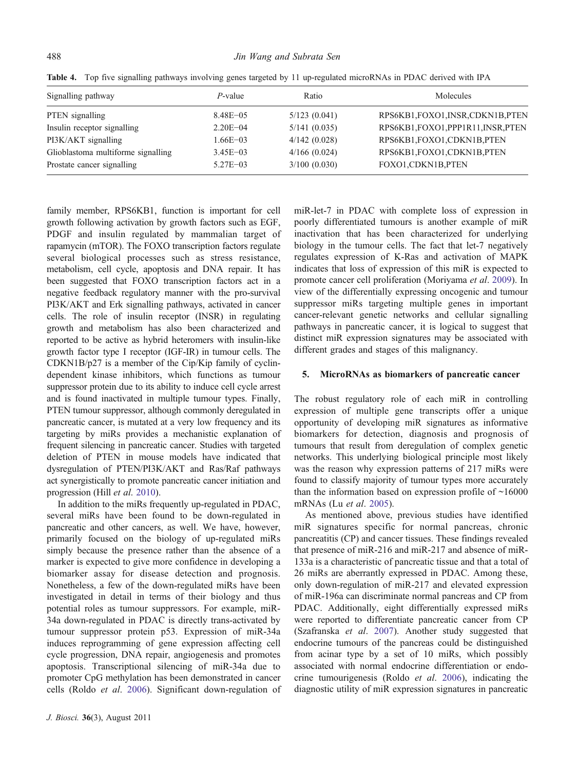| Signalling pathway                 | P-value      | Ratio        | Molecules                       |
|------------------------------------|--------------|--------------|---------------------------------|
| PTEN signalling                    | $8.48E - 05$ | 5/123(0.041) | RPS6KB1,FOXO1,INSR,CDKN1B,PTEN  |
| Insulin receptor signalling        | $2.20E - 04$ | 5/141(0.035) | RPS6KB1,FOXO1,PPP1R11,INSR,PTEN |
| PI3K/AKT signalling                | $1.66E - 03$ | 4/142(0.028) | RPS6KB1,FOXO1,CDKN1B,PTEN       |
| Glioblastoma multiforme signalling | $3.45E - 03$ | 4/166(0.024) | RPS6KB1,FOXO1,CDKN1B,PTEN       |
| Prostate cancer signalling         | $5.27E - 03$ | 3/100(0.030) | FOXO1,CDKN1B,PTEN               |
|                                    |              |              |                                 |

<span id="page-7-0"></span>Table 4. Top five signalling pathways involving genes targeted by 11 up-regulated microRNAs in PDAC derived with IPA

family member, RPS6KB1, function is important for cell growth following activation by growth factors such as EGF, PDGF and insulin regulated by mammalian target of rapamycin (mTOR). The FOXO transcription factors regulate several biological processes such as stress resistance, metabolism, cell cycle, apoptosis and DNA repair. It has been suggested that FOXO transcription factors act in a negative feedback regulatory manner with the pro-survival PI3K/AKT and Erk signalling pathways, activated in cancer cells. The role of insulin receptor (INSR) in regulating growth and metabolism has also been characterized and reported to be active as hybrid heteromers with insulin-like growth factor type I receptor (IGF-IR) in tumour cells. The CDKN1B/p27 is a member of the Cip/Kip family of cyclindependent kinase inhibitors, which functions as tumour suppressor protein due to its ability to induce cell cycle arrest and is found inactivated in multiple tumour types. Finally, PTEN tumour suppressor, although commonly deregulated in pancreatic cancer, is mutated at a very low frequency and its targeting by miRs provides a mechanistic explanation of frequent silencing in pancreatic cancer. Studies with targeted deletion of PTEN in mouse models have indicated that dysregulation of PTEN/PI3K/AKT and Ras/Raf pathways act synergistically to promote pancreatic cancer initiation and progression (Hill et al. [2010](#page-9-0)).

In addition to the miRs frequently up-regulated in PDAC, several miRs have been found to be down-regulated in pancreatic and other cancers, as well. We have, however, primarily focused on the biology of up-regulated miRs simply because the presence rather than the absence of a marker is expected to give more confidence in developing a biomarker assay for disease detection and prognosis. Nonetheless, a few of the down-regulated miRs have been investigated in detail in terms of their biology and thus potential roles as tumour suppressors. For example, miR-34a down-regulated in PDAC is directly trans-activated by tumour suppressor protein p53. Expression of miR-34a induces reprogramming of gene expression affecting cell cycle progression, DNA repair, angiogenesis and promotes apoptosis. Transcriptional silencing of miR-34a due to promoter CpG methylation has been demonstrated in cancer cells (Roldo et al. [2006](#page-9-0)). Significant down-regulation of

J. Biosci. 36(3), August 2011

miR-let-7 in PDAC with complete loss of expression in poorly differentiated tumours is another example of miR inactivation that has been characterized for underlying biology in the tumour cells. The fact that let-7 negatively regulates expression of K-Ras and activation of MAPK indicates that loss of expression of this miR is expected to promote cancer cell proliferation (Moriyama et al. [2009](#page-9-0)). In view of the differentially expressing oncogenic and tumour suppressor miRs targeting multiple genes in important cancer-relevant genetic networks and cellular signalling pathways in pancreatic cancer, it is logical to suggest that distinct miR expression signatures may be associated with different grades and stages of this malignancy.

### 5. MicroRNAs as biomarkers of pancreatic cancer

The robust regulatory role of each miR in controlling expression of multiple gene transcripts offer a unique opportunity of developing miR signatures as informative biomarkers for detection, diagnosis and prognosis of tumours that result from deregulation of complex genetic networks. This underlying biological principle most likely was the reason why expression patterns of 217 miRs were found to classify majority of tumour types more accurately than the information based on expression profile of ~16000 mRNAs (Lu et al. [2005\)](#page-9-0).

As mentioned above, previous studies have identified miR signatures specific for normal pancreas, chronic pancreatitis (CP) and cancer tissues. These findings revealed that presence of miR-216 and miR-217 and absence of miR-133a is a characteristic of pancreatic tissue and that a total of 26 miRs are aberrantly expressed in PDAC. Among these, only down-regulation of miR-217 and elevated expression of miR-196a can discriminate normal pancreas and CP from PDAC. Additionally, eight differentially expressed miRs were reported to differentiate pancreatic cancer from CP (Szafranska et al. [2007\)](#page-9-0). Another study suggested that endocrine tumours of the pancreas could be distinguished from acinar type by a set of 10 miRs, which possibly associated with normal endocrine differentiation or endocrine tumourigenesis (Roldo et al. [2006\)](#page-9-0), indicating the diagnostic utility of miR expression signatures in pancreatic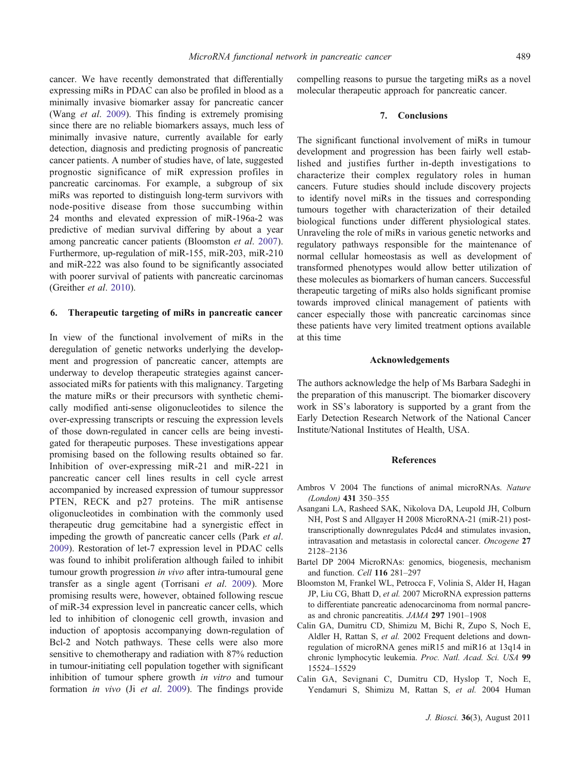<span id="page-8-0"></span>cancer. We have recently demonstrated that differentially expressing miRs in PDAC can also be profiled in blood as a minimally invasive biomarker assay for pancreatic cancer (Wang et al. [2009\)](#page-10-0). This finding is extremely promising since there are no reliable biomarkers assays, much less of minimally invasive nature, currently available for early detection, diagnosis and predicting prognosis of pancreatic cancer patients. A number of studies have, of late, suggested prognostic significance of miR expression profiles in pancreatic carcinomas. For example, a subgroup of six miRs was reported to distinguish long-term survivors with node-positive disease from those succumbing within 24 months and elevated expression of miR-196a-2 was predictive of median survival differing by about a year among pancreatic cancer patients (Bloomston et al. 2007). Furthermore, up-regulation of miR-155, miR-203, miR-210 and miR-222 was also found to be significantly associated with poorer survival of patients with pancreatic carcinomas (Greither et al. [2010](#page-9-0)).

## 6. Therapeutic targeting of miRs in pancreatic cancer

In view of the functional involvement of miRs in the deregulation of genetic networks underlying the development and progression of pancreatic cancer, attempts are underway to develop therapeutic strategies against cancerassociated miRs for patients with this malignancy. Targeting the mature miRs or their precursors with synthetic chemically modified anti-sense oligonucleotides to silence the over-expressing transcripts or rescuing the expression levels of those down-regulated in cancer cells are being investigated for therapeutic purposes. These investigations appear promising based on the following results obtained so far. Inhibition of over-expressing miR-21 and miR-221 in pancreatic cancer cell lines results in cell cycle arrest accompanied by increased expression of tumour suppressor PTEN, RECK and p27 proteins. The miR antisense oligonucleotides in combination with the commonly used therapeutic drug gemcitabine had a synergistic effect in impeding the growth of pancreatic cancer cells (Park et al. [2009](#page-9-0)). Restoration of let-7 expression level in PDAC cells was found to inhibit proliferation although failed to inhibit tumour growth progression in vivo after intra-tumoural gene transfer as a single agent (Torrisani et al. [2009](#page-10-0)). More promising results were, however, obtained following rescue of miR-34 expression level in pancreatic cancer cells, which led to inhibition of clonogenic cell growth, invasion and induction of apoptosis accompanying down-regulation of Bcl-2 and Notch pathways. These cells were also more sensitive to chemotherapy and radiation with 87% reduction in tumour-initiating cell population together with significant inhibition of tumour sphere growth *in vitro* and tumour formation in vivo (Ji et al. [2009](#page-9-0)). The findings provide

compelling reasons to pursue the targeting miRs as a novel molecular therapeutic approach for pancreatic cancer.

## 7. Conclusions

The significant functional involvement of miRs in tumour development and progression has been fairly well established and justifies further in-depth investigations to characterize their complex regulatory roles in human cancers. Future studies should include discovery projects to identify novel miRs in the tissues and corresponding tumours together with characterization of their detailed biological functions under different physiological states. Unraveling the role of miRs in various genetic networks and regulatory pathways responsible for the maintenance of normal cellular homeostasis as well as development of transformed phenotypes would allow better utilization of these molecules as biomarkers of human cancers. Successful therapeutic targeting of miRs also holds significant promise towards improved clinical management of patients with cancer especially those with pancreatic carcinomas since these patients have very limited treatment options available at this time

## Acknowledgements

The authors acknowledge the help of Ms Barbara Sadeghi in the preparation of this manuscript. The biomarker discovery work in SS's laboratory is supported by a grant from the Early Detection Research Network of the National Cancer Institute/National Institutes of Health, USA.

## References

- Ambros V 2004 The functions of animal microRNAs. Nature (London) 431 350–355
- Asangani LA, Rasheed SAK, Nikolova DA, Leupold JH, Colburn NH, Post S and Allgayer H 2008 MicroRNA-21 (miR-21) posttranscriptionally downregulates Pdcd4 and stimulates invasion, intravasation and metastasis in colorectal cancer. Oncogene 27 2128–2136
- Bartel DP 2004 MicroRNAs: genomics, biogenesis, mechanism and function. Cell 116 281–297
- Bloomston M, Frankel WL, Petrocca F, Volinia S, Alder H, Hagan JP, Liu CG, Bhatt D, et al. 2007 MicroRNA expression patterns to differentiate pancreatic adenocarcinoma from normal pancreas and chronic pancreatitis. JAMA 297 1901–1908
- Calin GA, Dumitru CD, Shimizu M, Bichi R, Zupo S, Noch E, Aldler H, Rattan S, et al. 2002 Frequent deletions and downregulation of microRNA genes miR15 and miR16 at 13q14 in chronic lymphocytic leukemia. Proc. Natl. Acad. Sci. USA 99 15524–15529
- Calin GA, Sevignani C, Dumitru CD, Hyslop T, Noch E, Yendamuri S, Shimizu M, Rattan S, et al. 2004 Human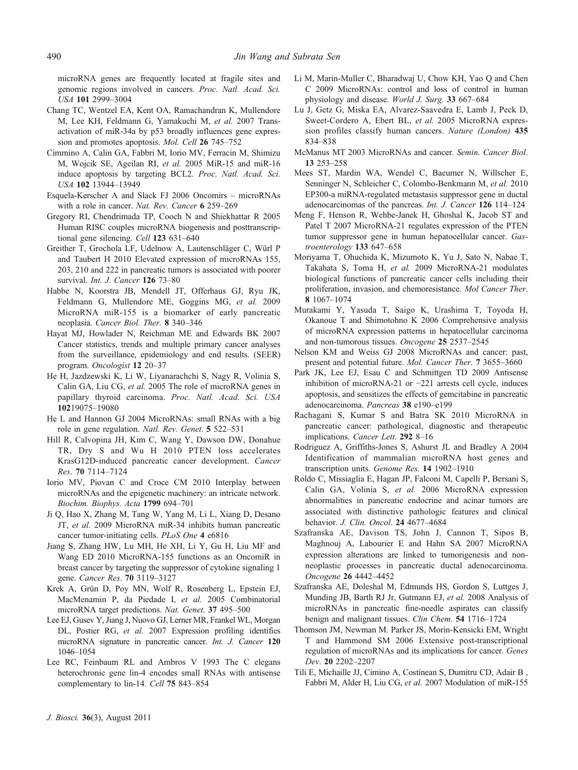<span id="page-9-0"></span>microRNA genes are frequently located at fragile sites and genomic regions involved in cancers. Proc. Natl. Acad. Sci. USA 101 2999–3004

- Chang TC, Wentzel EA, Kent OA, Ramachandran K, Mullendore M, Lee KH, Feldmann G, Yamakuchi M, et al. 2007 Transactivation of miR-34a by p53 broadly influences gene expression and promotes apoptosis. Mol. Cell 26 745–752
- Cimmino A, Calin GA, Fabbri M, Iorio MV, Ferracin M, Shimizu M, Wojcik SE, Ageilan RI, et al. 2005 MiR-15 and miR-16 induce apoptosis by targeting BCL2. Proc. Natl. Acad. Sci. USA 102 13944–13949
- Esquela-Kerscher A and Slack FJ 2006 Oncomirs microRNAs with a role in cancer. Nat. Rev. Cancer 6 259–269
- Gregory RI, Chendrimada TP, Cooch N and Shiekhattar R 2005 Human RISC couples microRNA biogenesis and posttranscriptional gene silencing. Cell 123 631–640
- Greither T, Grochola LF, Udelnow A, Lautenschläger C, Würl P and Taubert H 2010 Elevated expression of microRNAs 155, 203, 210 and 222 in pancreatic tumors is associated with poorer survival. Int. J. Cancer 126 73–80
- Habbe N, Koorstra JB, Mendell JT, Offerhaus GJ, Ryu JK, Feldmann G, Mullendore ME, Goggins MG, et al. 2009 MicroRNA miR-155 is a biomarker of early pancreatic neoplasia. Cancer Biol. Ther. 8 340–346
- Hayat MJ, Howlader N, Reichman ME and Edwards BK 2007 Cancer statistics, trends and multiple primary cancer analyses from the surveillance, epidemiology and end results. (SEER) program. Oncologist 12 20–37
- He H, Jazdzewski K, Li W, Liyanarachchi S, Nagy R, Volinia S, Calin GA, Liu CG, et al. 2005 The role of microRNA genes in papillary thyroid carcinoma. Proc. Natl. Acad. Sci. USA 10219075–19080
- He L and Hannon GJ 2004 MicroRNAs: small RNAs with a big role in gene regulation. Natl. Rev. Genet. 5 522–531
- Hill R, Calvopina JH, Kim C, Wang Y, Dawson DW, Donahue TR, Dry S and Wu H 2010 PTEN loss accelerates KrasG12D-induced pancreatic cancer development. Cancer Res. 70 7114–7124
- Iorio MV, Piovan C and Croce CM 2010 Interplay between microRNAs and the epigenetic machinery: an intricate network. Biochim. Biophys. Acta 1799 694–701
- Ji Q, Hao X, Zhang M, Tang W, Yang M, Li L, Xiang D, Desano JT, et al. 2009 MicroRNA miR-34 inhibits human pancreatic cancer tumor-initiating cells. PLoS One 4 e6816
- Jiang S, Zhang HW, Lu MH, He XH, Li Y, Gu H, Liu MF and Wang ED 2010 MicroRNA-155 functions as an OncomiR in breast cancer by targeting the suppressor of cytokine signaling 1 gene. Cancer Res. 70 3119–3127
- Krek A, Grün D, Poy MN, Wolf R, Rosenberg L, Epstein EJ, MacMenamin P, da Piedade I, et al. 2005 Combinatorial microRNA target predictions. Nat. Genet. 37 495–500
- Lee EJ, Gusev Y, Jiang J, Nuovo GJ, Lerner MR, Frankel WL, Morgan DL, Postier RG, et al. 2007 Expression profiling identifies microRNA signature in pancreatic cancer. Int. J. Cancer 120 1046–1054
- Lee RC, Feinbaum RL and Ambros V 1993 The C elegans heterochronic gene lin-4 encodes small RNAs with antisense complementary to lin-14. Cell 75 843–854
- Li M, Marin-Muller C, Bharadwaj U, Chow KH, Yao Q and Chen C 2009 MicroRNAs: control and loss of control in human physiology and disease. World J. Surg. 33 667–684
- Lu J, Getz G, Miska EA, Alvarez-Saavedra E, Lamb J, Peck D, Sweet-Cordero A, Ebert BL, et al. 2005 MicroRNA expression profiles classify human cancers. Nature (London) 435 834–838
- McManus MT 2003 MicroRNAs and cancer. Semin. Cancer Biol. 13 253–258
- Mees ST, Mardin WA, Wendel C, Baeumer N, Willscher E, Senninger N, Schleicher C, Colombo-Benkmann M, et al. 2010 EP300-a miRNA-regulated metastasis suppressor gene in ductal adenocarcinomas of the pancreas. Int. J. Cancer 126 114–124
- Meng F, Henson R, Wehbe-Janek H, Ghoshal K, Jacob ST and Patel T 2007 MicroRNA-21 regulates expression of the PTEN tumor suppressor gene in human hepatocellular cancer. Gastroenterology 133 647–658
- Moriyama T, Ohuchida K, Mizumoto K, Yu J, Sato N, Nabae T, Takahata S, Toma H, et al. 2009 MicroRNA-21 modulates biological functions of pancreatic cancer cells including their proliferation, invasion, and chemoresistance. Mol Cancer Ther. 8 1067–1074
- Murakami Y, Yasuda T, Saigo K, Urashima T, Toyoda H, Okanoue T and Shimotohno K 2006 Comprehensive analysis of microRNA expression patterns in hepatocellular carcinoma and non-tumorous tissues. Oncogene 25 2537–2545
- Nelson KM and Weiss GJ 2008 MicroRNAs and cancer: past, present and potential future. Mol. Cancer Ther. 7 3655–3660
- Park JK, Lee EJ, Esau C and Schmittgen TD 2009 Antisense inhibition of microRNA-21 or −221 arrests cell cycle, induces apoptosis, and sensitizes the effects of gemcitabine in pancreatic adenocarcinoma. Pancreas 38 e190–e199
- Rachagani S, Kumar S and Batra SK 2010 MicroRNA in pancreatic cancer: pathological, diagnostic and therapeutic implications. Cancer Lett. 292 8-16
- Rodriguez A, Griffiths-Jones S, Ashurst JL and Bradley A 2004 Identification of mammalian microRNA host genes and transcription units. Genome Res. 14 1902–1910
- Roldo C, Missiaglia E, Hagan JP, Falconi M, Capelli P, Bersani S, Calin GA, Volinia S, et al. 2006 MicroRNA expression abnormalities in pancreatic endocrine and acinar tumors are associated with distinctive pathologic features and clinical behavior. J. Clin. Oncol. 24 4677–4684
- Szafranska AE, Davison TS, John J, Cannon T, Sipos B, Maghnouj A, Labourier E and Hahn SA 2007 MicroRNA expression alterations are linked to tumorigenesis and nonneoplastic processes in pancreatic ductal adenocarcinoma. Oncogene 26 4442–4452
- Szafranska AE, Doleshal M, Edmunds HS, Gordon S, Luttges J, Munding JB, Barth RJ Jr, Gutmann EJ, et al. 2008 Analysis of microRNAs in pancreatic fine-needle aspirates can classify benign and malignant tissues. Clin Chem. 54 1716–1724
- Thomson JM, Newman M. Parker JS, Morin-Kensicki EM, Wright T and Hammond SM 2006 Extensive post-transcriptional regulation of microRNAs and its implications for cancer. Genes Dev. 20 2202–2207
- Tili E, Michaille JJ, Cimino A, Costinean S, Dumitru CD, Adair B , Fabbri M, Alder H, Liu CG, et al. 2007 Modulation of miR-155